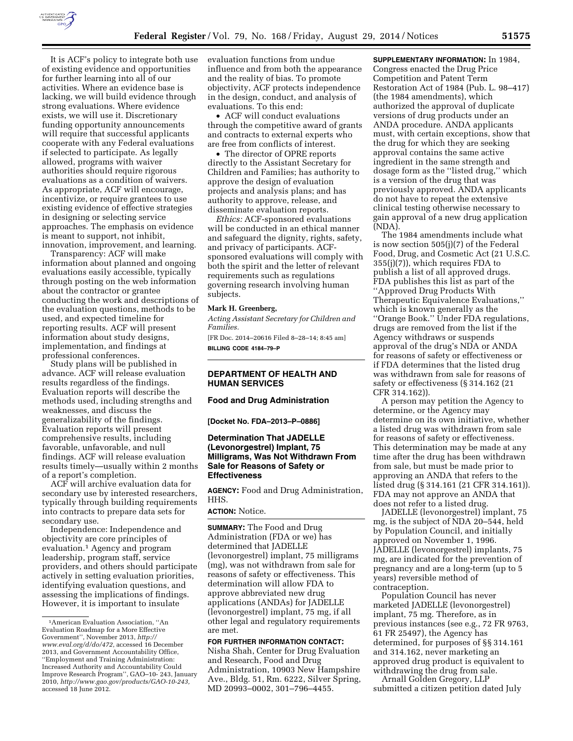

It is ACF's policy to integrate both use of existing evidence and opportunities for further learning into all of our activities. Where an evidence base is lacking, we will build evidence through strong evaluations. Where evidence exists, we will use it. Discretionary funding opportunity announcements will require that successful applicants cooperate with any Federal evaluations if selected to participate. As legally allowed, programs with waiver authorities should require rigorous evaluations as a condition of waivers. As appropriate, ACF will encourage, incentivize, or require grantees to use existing evidence of effective strategies in designing or selecting service approaches. The emphasis on evidence is meant to support, not inhibit, innovation, improvement, and learning.

Transparency: ACF will make information about planned and ongoing evaluations easily accessible, typically through posting on the web information about the contractor or grantee conducting the work and descriptions of the evaluation questions, methods to be used, and expected timeline for reporting results. ACF will present information about study designs, implementation, and findings at professional conferences.

Study plans will be published in advance. ACF will release evaluation results regardless of the findings. Evaluation reports will describe the methods used, including strengths and weaknesses, and discuss the generalizability of the findings. Evaluation reports will present comprehensive results, including favorable, unfavorable, and null findings. ACF will release evaluation results timely—usually within 2 months of a report's completion.

ACF will archive evaluation data for secondary use by interested researchers, typically through building requirements into contracts to prepare data sets for secondary use.

Independence: Independence and objectivity are core principles of evaluation.1 Agency and program leadership, program staff, service providers, and others should participate actively in setting evaluation priorities, identifying evaluation questions, and assessing the implications of findings. However, it is important to insulate

evaluation functions from undue influence and from both the appearance and the reality of bias. To promote objectivity, ACF protects independence in the design, conduct, and analysis of evaluations. To this end:

• ACF will conduct evaluations through the competitive award of grants and contracts to external experts who are free from conflicts of interest.

• The director of OPRE reports directly to the Assistant Secretary for Children and Families; has authority to approve the design of evaluation projects and analysis plans; and has authority to approve, release, and disseminate evaluation reports.

*Ethics:* ACF-sponsored evaluations will be conducted in an ethical manner and safeguard the dignity, rights, safety, and privacy of participants. ACFsponsored evaluations will comply with both the spirit and the letter of relevant requirements such as regulations governing research involving human subjects.

## **Mark H. Greenberg,**

*Acting Assistant Secretary for Children and Families.* 

[FR Doc. 2014–20616 Filed 8–28–14; 8:45 am] **BILLING CODE 4184–79–P** 

## **DEPARTMENT OF HEALTH AND HUMAN SERVICES**

**Food and Drug Administration** 

**[Docket No. FDA–2013–P–0886]** 

## **Determination That JADELLE (Levonorgestrel) Implant, 75 Milligrams, Was Not Withdrawn From Sale for Reasons of Safety or Effectiveness**

**AGENCY:** Food and Drug Administration, HHS.

## **ACTION:** Notice.

**SUMMARY:** The Food and Drug Administration (FDA or we) has determined that JADELLE (levonorgestrel) implant, 75 milligrams (mg), was not withdrawn from sale for reasons of safety or effectiveness. This determination will allow FDA to approve abbreviated new drug applications (ANDAs) for JADELLE (levonorgestrel) implant, 75 mg, if all other legal and regulatory requirements are met.

## **FOR FURTHER INFORMATION CONTACT:**

Nisha Shah, Center for Drug Evaluation and Research, Food and Drug Administration, 10903 New Hampshire Ave., Bldg. 51, Rm. 6222, Silver Spring, MD 20993–0002, 301–796–4455.

**SUPPLEMENTARY INFORMATION:** In 1984, Congress enacted the Drug Price Competition and Patent Term Restoration Act of 1984 (Pub. L. 98–417) (the 1984 amendments), which authorized the approval of duplicate versions of drug products under an ANDA procedure. ANDA applicants must, with certain exceptions, show that the drug for which they are seeking approval contains the same active ingredient in the same strength and dosage form as the ''listed drug,'' which is a version of the drug that was previously approved. ANDA applicants do not have to repeat the extensive clinical testing otherwise necessary to gain approval of a new drug application (NDA).

The 1984 amendments include what is now section 505(j)(7) of the Federal Food, Drug, and Cosmetic Act (21 U.S.C. 355(j)(7)), which requires FDA to publish a list of all approved drugs. FDA publishes this list as part of the ''Approved Drug Products With Therapeutic Equivalence Evaluations,'' which is known generally as the ''Orange Book.'' Under FDA regulations, drugs are removed from the list if the Agency withdraws or suspends approval of the drug's NDA or ANDA for reasons of safety or effectiveness or if FDA determines that the listed drug was withdrawn from sale for reasons of safety or effectiveness (§ 314.162 (21 CFR 314.162)).

A person may petition the Agency to determine, or the Agency may determine on its own initiative, whether a listed drug was withdrawn from sale for reasons of safety or effectiveness. This determination may be made at any time after the drug has been withdrawn from sale, but must be made prior to approving an ANDA that refers to the listed drug (§ 314.161 (21 CFR 314.161)). FDA may not approve an ANDA that does not refer to a listed drug.

JADELLE (levonorgestrel) implant, 75 mg, is the subject of NDA 20–544, held by Population Council, and initially approved on November 1, 1996. JADELLE (levonorgestrel) implants, 75 mg, are indicated for the prevention of pregnancy and are a long-term (up to 5 years) reversible method of contraception.

Population Council has never marketed JADELLE (levonorgestrel) implant, 75 mg. Therefore, as in previous instances (see e.g., 72 FR 9763, 61 FR 25497), the Agency has determined, for purposes of §§ 314.161 and 314.162, never marketing an approved drug product is equivalent to withdrawing the drug from sale.

Arnall Golden Gregory, LLP submitted a citizen petition dated July

<sup>1</sup>American Evaluation Association, ''An Evaluation Roadmap for a More Effective Government'', November 2013, *[http://](http://www.eval.org/d/do/472) [www.eval.org/d/do/472,](http://www.eval.org/d/do/472)* accessed 16 December 2013, and Government Accountability Office, ''Employment and Training Administration: Increased Authority and Accountability Could Improve Research Program'', GAO–10- 243, January 2010, *[http://www.gao.gov/products/GAO-10-243,](http://www.gao.gov/products/GAO-10-243)*  accessed 18 June 2012.